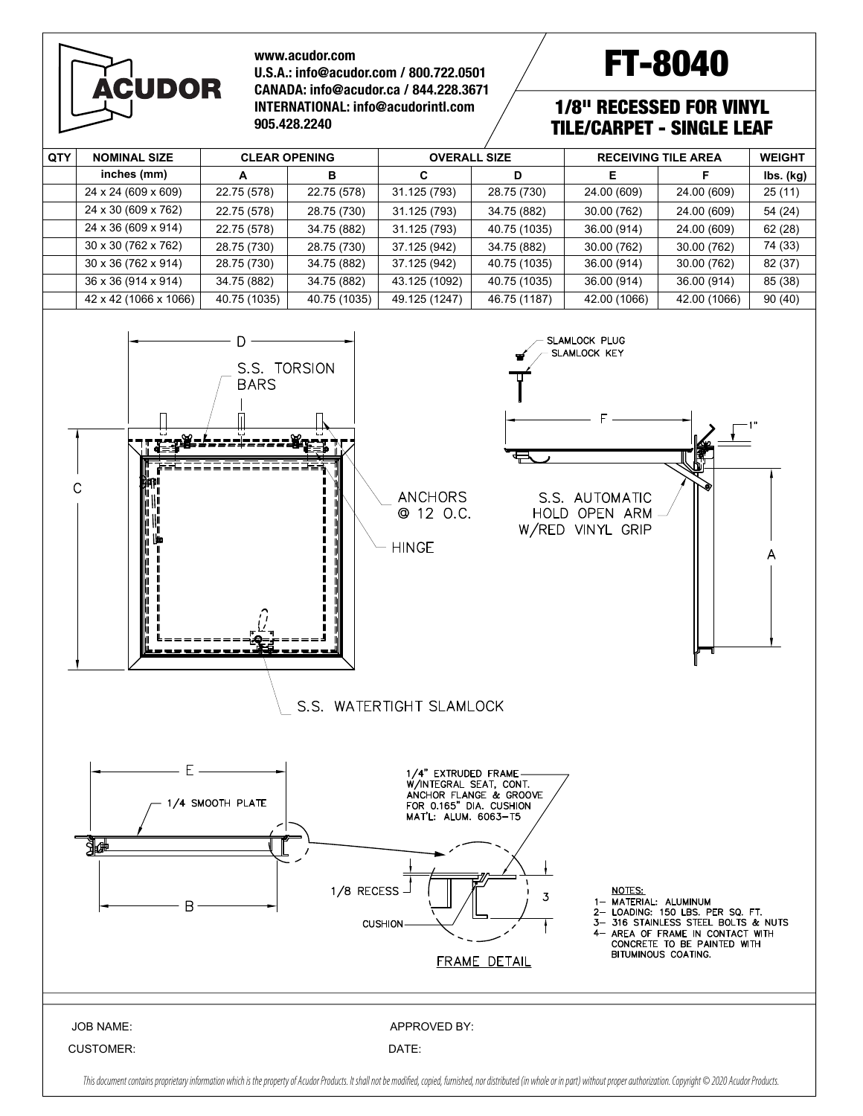# **ÁCUDOR**

#### **www.acudor.com U.S.A.: info@acudor.com / 800.722.0501 CANADA: info@acudor.ca / 844.228.3671 INTERNATIONAL: info@acudorintl.com 905.428.2240**

# FT-8040

## 1/8" RECESSED FOR VINYL TILE/CARPET - SINGLE LEAF

| QTY                                                                                                                                                                                                                                                                                                                                                                                                                                           | <b>NOMINAL SIZE</b>                                                                                                                                                                                                                                                    | <b>CLEAR OPENING</b> |              | <b>OVERALL SIZE</b>   |              | <b>RECEIVING TILE AREA</b> |              | <b>WEIGHT</b> |  |  |  |  |
|-----------------------------------------------------------------------------------------------------------------------------------------------------------------------------------------------------------------------------------------------------------------------------------------------------------------------------------------------------------------------------------------------------------------------------------------------|------------------------------------------------------------------------------------------------------------------------------------------------------------------------------------------------------------------------------------------------------------------------|----------------------|--------------|-----------------------|--------------|----------------------------|--------------|---------------|--|--|--|--|
|                                                                                                                                                                                                                                                                                                                                                                                                                                               | inches (mm)                                                                                                                                                                                                                                                            | A                    | в            | C                     | D            | Е                          | F            | lbs. (kg)     |  |  |  |  |
|                                                                                                                                                                                                                                                                                                                                                                                                                                               | 24 x 24 (609 x 609)                                                                                                                                                                                                                                                    | 22.75(578)           | 22.75 (578)  | 31.125 (793)          | 28.75 (730)  | 24.00 (609)                | 24.00 (609)  | 25 (11)       |  |  |  |  |
|                                                                                                                                                                                                                                                                                                                                                                                                                                               | 24 x 30 (609 x 762)                                                                                                                                                                                                                                                    | 22.75 (578)          | 28.75 (730)  | 31.125 (793)          | 34.75 (882)  | 30.00 (762)                | 24.00 (609)  | 54 (24)       |  |  |  |  |
|                                                                                                                                                                                                                                                                                                                                                                                                                                               | 24 x 36 (609 x 914)                                                                                                                                                                                                                                                    | 22.75 (578)          | 34.75 (882)  | 31.125 (793)          | 40.75 (1035) | 36.00 (914)                | 24.00 (609)  | 62 (28)       |  |  |  |  |
|                                                                                                                                                                                                                                                                                                                                                                                                                                               | 30 x 30 (762 x 762)                                                                                                                                                                                                                                                    | 28.75 (730)          | 28.75 (730)  | 37.125 (942)          | 34.75 (882)  | 30.00 (762)                | 30.00 (762)  | 74 (33)       |  |  |  |  |
|                                                                                                                                                                                                                                                                                                                                                                                                                                               | 30 x 36 (762 x 914)                                                                                                                                                                                                                                                    | 28.75 (730)          | 34.75 (882)  | 37.125 (942)          | 40.75 (1035) | 36.00 (914)                | 30.00 (762)  | 82 (37)       |  |  |  |  |
|                                                                                                                                                                                                                                                                                                                                                                                                                                               | 36 x 36 (914 x 914)                                                                                                                                                                                                                                                    | 34.75 (882)          | 34.75 (882)  | 43.125 (1092)         | 40.75 (1035) | 36.00 (914)                | 36.00 (914)  | 85 (38)       |  |  |  |  |
|                                                                                                                                                                                                                                                                                                                                                                                                                                               | 42 x 42 (1066 x 1066)                                                                                                                                                                                                                                                  | 40.75 (1035)         | 40.75 (1035) | 49.125 (1247)         | 46.75 (1187) | 42.00 (1066)               | 42.00 (1066) | 90 (40)       |  |  |  |  |
|                                                                                                                                                                                                                                                                                                                                                                                                                                               | SLAMLOCK PLUG<br>SLAMLOCK KEY<br>S.S. TORSION<br><b>BARS</b><br>C<br><b>ANCHORS</b><br>S.S. AUTOMATIC<br>@ 12 O.C.<br>HOLD OPEN ARM<br>W/RED VINYL GRIP<br><b>HINGE</b><br>S.S. WATERTIGHT SLAMLOCK                                                                    |                      |              |                       |              |                            |              |               |  |  |  |  |
| Ε.<br>1/4" EXTRUDED FRAME-<br>W/INTEGRAL SEAT, CONT.<br>ANCHOR FLANGE & GROOVE<br>1/4 SMOOTH PLATE<br>FOR 0.165" DIA. CUSHION<br>MAT'L: ALUM. 6063-T5<br>▓₩<br>1/8 RECESS -<br><b>NOTES:</b><br>3<br>1- MATERIAL: ALUMINUM<br>Β<br>2- LOADING: 150 LBS. PER SQ. FT.<br>3- 316 STAINLESS STEEL BOLTS & NUTS<br><b>CUSHION</b><br>4- AREA OF FRAME IN CONTACT WITH<br>CONCRETE TO BE PAINTED WITH<br>BITUMINOUS COATING.<br><b>FRAME DETAIL</b> |                                                                                                                                                                                                                                                                        |                      |              |                       |              |                            |              |               |  |  |  |  |
|                                                                                                                                                                                                                                                                                                                                                                                                                                               | <b>JOB NAME:</b><br><b>CUSTOMER:</b><br>This document contains proprietary information which is the property of Acudor Products. It shall not be modified, copied, furnished, nor distributed (in whole or in part) without proper authorization. Copyright © 2020 Acu |                      |              | APPROVED BY:<br>DATE: |              |                            |              |               |  |  |  |  |